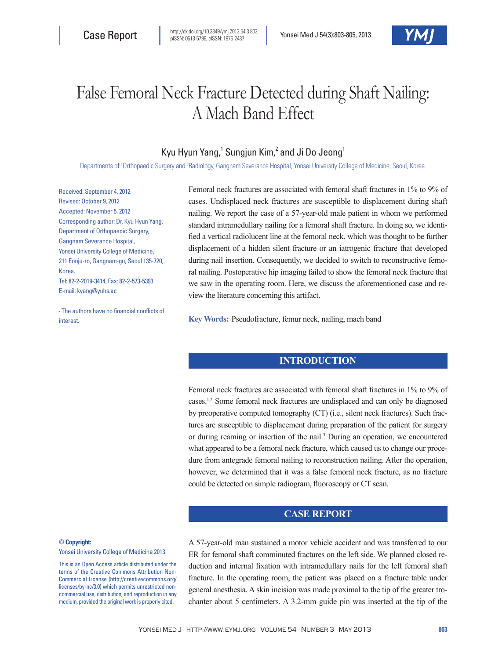# False Femoral Neck Fracture Detected during Shaft Nailing: A Mach Band Effect

## Kyu Hyun Yang,<sup>1</sup> Sungjun Kim,<sup>2</sup> and Ji Do Jeong<sup>1</sup>

Departments of <sup>1</sup>Orthopaedic Surgery and <sup>2</sup>Radiology, Gangnam Severance Hospital, Yonsei University College of Medicine, Seoul, Korea.

Received: September 4, 2012 Revised: October 9, 2012 Accepted: November 5, 2012 Corresponding author: Dr. Kyu Hyun Yang, Department of Orthopaedic Surgery, Gangnam Severance Hospital, Yonsei University College of Medicine, 211 Eonju-ro, Gangnam-gu, Seoul 135-720, **Korea** Tel: 82-2-2019-3414, Fax: 82-2-573-5393 E-mail: kyang@yuhs.ac

∙ The authors have no financial conflicts of interest.

Femoral neck fractures are associated with femoral shaft fractures in 1% to 9% of cases. Undisplaced neck fractures are susceptible to displacement during shaft nailing. We report the case of a 57-year-old male patient in whom we performed standard intramedullary nailing for a femoral shaft fracture. In doing so, we identified a vertical radiolucent line at the femoral neck, which was thought to be further displacement of a hidden silent fracture or an iatrogenic fracture that developed during nail insertion. Consequently, we decided to switch to reconstructive femoral nailing. Postoperative hip imaging failed to show the femoral neck fracture that we saw in the operating room. Here, we discuss the aforementioned case and review the literature concerning this artifact.

**Key Words:** Pseudofracture, femur neck, nailing, mach band

#### **INTRODUCTION**

Femoral neck fractures are associated with femoral shaft fractures in 1% to 9% of cases.1,2 Some femoral neck fractures are undisplaced and can only be diagnosed by preoperative computed tomography (CT) (i.e., silent neck fractures). Such fractures are susceptible to displacement during preparation of the patient for surgery or during reaming or insertion of the nail.<sup>3</sup> During an operation, we encountered what appeared to be a femoral neck fracture, which caused us to change our procedure from antegrade femoral nailing to reconstruction nailing. After the operation, however, we determined that it was a false femoral neck fracture, as no fracture could be detected on simple radiogram, fluoroscopy or CT scan.

### **CASE REPORT**

#### **© Copyright:**

Yonsei University College of Medicine 2013

This is an Open Access article distributed under the terms of the Creative Commons Attribution Non-Commercial License (http://creativecommons.org/ licenses/by-nc/3.0) which permits unrestricted noncommercial use, distribution, and reproduction in any medium, provided the original work is properly cited.

A 57-year-old man sustained a motor vehicle accident and was transferred to our ER for femoral shaft comminuted fractures on the left side. We planned closed reduction and internal fixation with intramedullary nails for the left femoral shaft fracture. In the operating room, the patient was placed on a fracture table under general anesthesia. A skin incision was made proximal to the tip of the greater trochanter about 5 centimeters. A 3.2-mm guide pin was inserted at the tip of the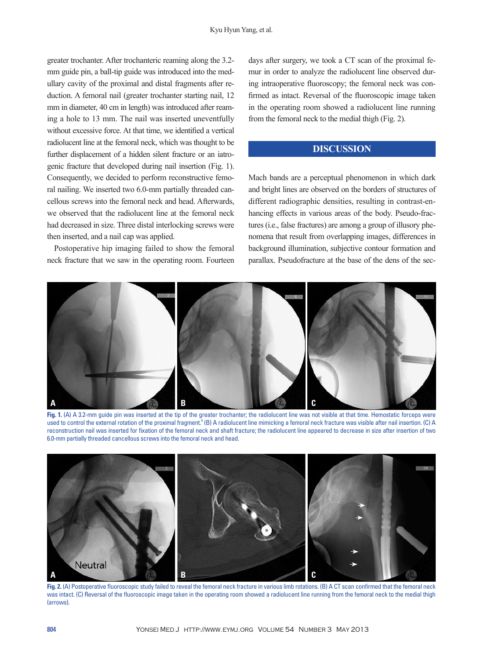greater trochanter. After trochanteric reaming along the 3.2 mm guide pin, a ball-tip guide was introduced into the medullary cavity of the proximal and distal fragments after reduction. A femoral nail (greater trochanter starting nail, 12 mm in diameter, 40 cm in length) was introduced after reaming a hole to 13 mm. The nail was inserted uneventfully without excessive force. At that time, we identified a vertical radiolucent line at the femoral neck, which was thought to be further displacement of a hidden silent fracture or an iatrogenic fracture that developed during nail insertion (Fig. 1). Consequently, we decided to perform reconstructive femoral nailing. We inserted two 6.0-mm partially threaded cancellous screws into the femoral neck and head. Afterwards, we observed that the radiolucent line at the femoral neck had decreased in size. Three distal interlocking screws were then inserted, and a nail cap was applied.

Postoperative hip imaging failed to show the femoral neck fracture that we saw in the operating room. Fourteen

days after surgery, we took a CT scan of the proximal femur in order to analyze the radiolucent line observed during intraoperative fluoroscopy; the femoral neck was confirmed as intact. Reversal of the fluoroscopic image taken in the operating room showed a radiolucent line running from the femoral neck to the medial thigh (Fig. 2).

### **DISCUSSION**

Mach bands are a perceptual phenomenon in which dark and bright lines are observed on the borders of structures of different radiographic densities, resulting in contrast-enhancing effects in various areas of the body. Pseudo-fractures (i.e., false fractures) are among a group of illusory phenomena that result from overlapping images, differences in background illumination, subjective contour formation and parallax. Pseudofracture at the base of the dens of the sec-



**Fig. 1.** (A) A 3.2-mm guide pin was inserted at the tip of the greater trochanter; the radiolucent line was not visible at that time. Hemostatic forceps were used to control the external rotation of the proximal fragment.<sup>4</sup> (B) A radiolucent line mimicking a femoral neck fracture was visible after nail insertion. (C) A reconstruction nail was inserted for fixation of the femoral neck and shaft fracture; the radiolucent line appeared to decrease in size after insertion of two 6.0-mm partially threaded cancellous screws into the femoral neck and head.



**Fig. 2.** (A) Postoperative fluoroscopic study failed to reveal the femoral neck fracture in various limb rotations. (B) A CT scan confirmed that the femoral neck was intact. (C) Reversal of the fluoroscopic image taken in the operating room showed a radiolucent line running from the femoral neck to the medial thigh (arrows).